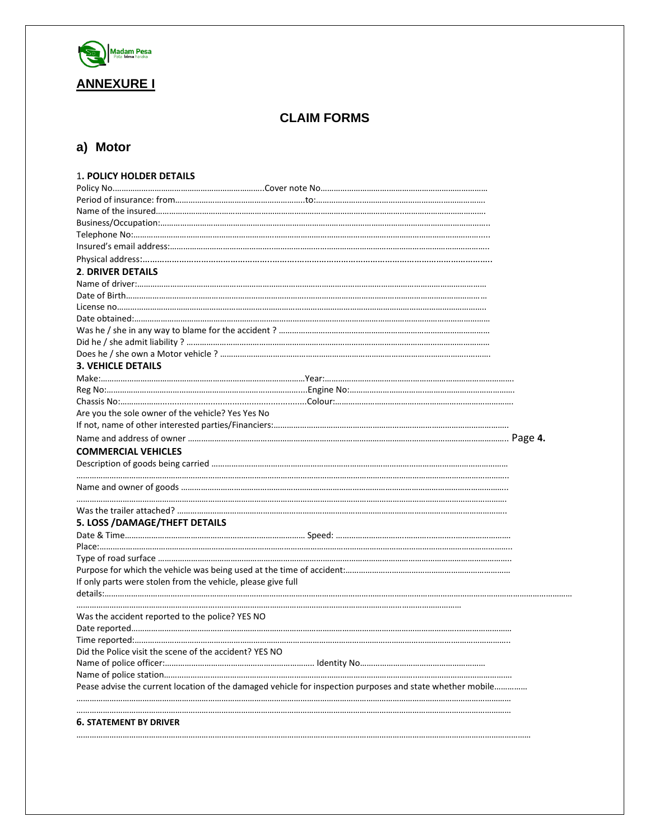

## **CLAIM FORMS**

# **a) Motor**

| <b>1. POLICY HOLDER DETAILS</b>                                                                           |  |
|-----------------------------------------------------------------------------------------------------------|--|
|                                                                                                           |  |
|                                                                                                           |  |
|                                                                                                           |  |
|                                                                                                           |  |
|                                                                                                           |  |
|                                                                                                           |  |
|                                                                                                           |  |
| <b>2. DRIVER DETAILS</b>                                                                                  |  |
|                                                                                                           |  |
|                                                                                                           |  |
|                                                                                                           |  |
|                                                                                                           |  |
|                                                                                                           |  |
|                                                                                                           |  |
|                                                                                                           |  |
| <b>3. VEHICLE DETAILS</b>                                                                                 |  |
|                                                                                                           |  |
|                                                                                                           |  |
|                                                                                                           |  |
| Are you the sole owner of the vehicle? Yes Yes No                                                         |  |
|                                                                                                           |  |
|                                                                                                           |  |
| <b>COMMERCIAL VEHICLES</b>                                                                                |  |
|                                                                                                           |  |
|                                                                                                           |  |
|                                                                                                           |  |
|                                                                                                           |  |
|                                                                                                           |  |
| 5. LOSS / DAMAGE/THEFT DETAILS                                                                            |  |
|                                                                                                           |  |
|                                                                                                           |  |
|                                                                                                           |  |
|                                                                                                           |  |
| If only parts were stolen from the vehicle, please give full                                              |  |
|                                                                                                           |  |
| Was the accident reported to the police? YES NO                                                           |  |
|                                                                                                           |  |
|                                                                                                           |  |
| Did the Police visit the scene of the accident? YES NO                                                    |  |
|                                                                                                           |  |
|                                                                                                           |  |
| Pease advise the current location of the damaged vehicle for inspection purposes and state whether mobile |  |
|                                                                                                           |  |
|                                                                                                           |  |
| <b>6. STATEMENT BY DRIVER</b>                                                                             |  |
|                                                                                                           |  |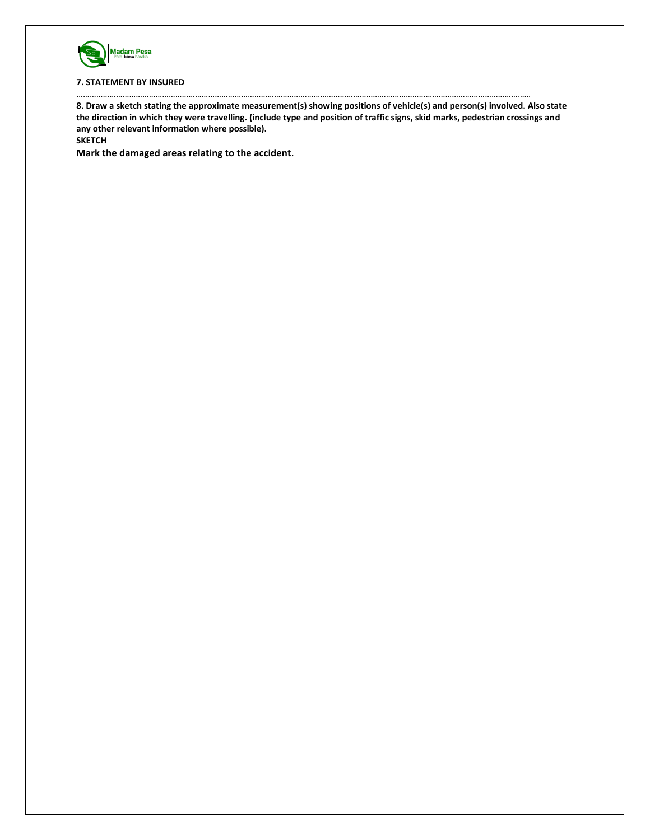

#### **7. STATEMENT BY INSURED**

**8. Draw a sketch stating the approximate measurement(s) showing positions of vehicle(s) and person(s) involved. Also state the direction in which they were travelling. (include type and position of traffic signs, skid marks, pedestrian crossings and any other relevant information where possible).** 

………………………………………………………………………………………………………………………………………………………………………………………

**SKETCH** 

**Mark the damaged areas relating to the accident**.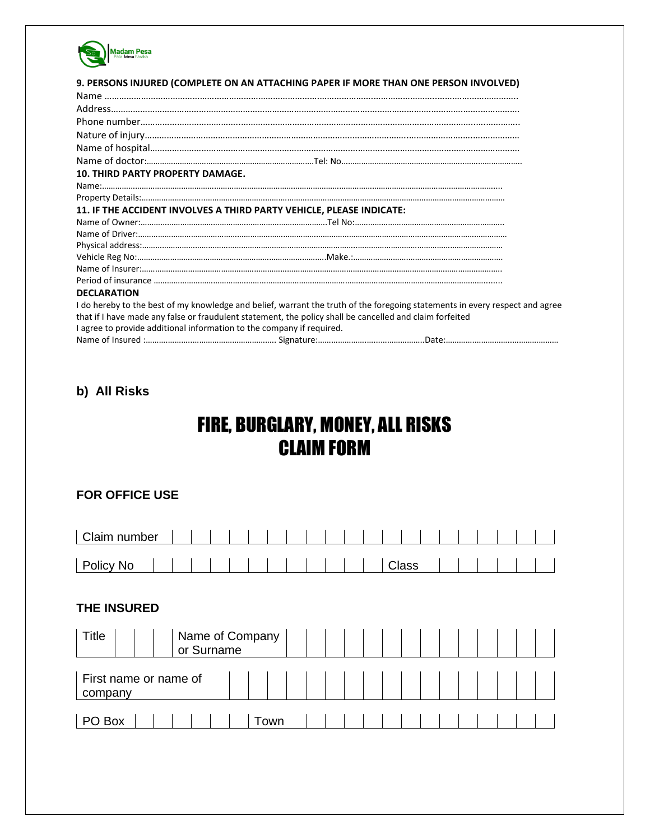

|                                                                       | 9. PERSONS INJURED (COMPLETE ON AN ATTACHING PAPER IF MORE THAN ONE PERSON INVOLVED)                                                                                                                                                     |
|-----------------------------------------------------------------------|------------------------------------------------------------------------------------------------------------------------------------------------------------------------------------------------------------------------------------------|
|                                                                       |                                                                                                                                                                                                                                          |
|                                                                       |                                                                                                                                                                                                                                          |
|                                                                       |                                                                                                                                                                                                                                          |
|                                                                       |                                                                                                                                                                                                                                          |
|                                                                       |                                                                                                                                                                                                                                          |
| <b>10. THIRD PARTY PROPERTY DAMAGE.</b>                               |                                                                                                                                                                                                                                          |
|                                                                       |                                                                                                                                                                                                                                          |
|                                                                       |                                                                                                                                                                                                                                          |
|                                                                       | 11. IF THE ACCIDENT INVOLVES A THIRD PARTY VEHICLE, PLEASE INDICATE:                                                                                                                                                                     |
|                                                                       |                                                                                                                                                                                                                                          |
|                                                                       |                                                                                                                                                                                                                                          |
|                                                                       |                                                                                                                                                                                                                                          |
|                                                                       |                                                                                                                                                                                                                                          |
|                                                                       |                                                                                                                                                                                                                                          |
|                                                                       |                                                                                                                                                                                                                                          |
| <b>DECLARATION</b>                                                    |                                                                                                                                                                                                                                          |
| I agree to provide additional information to the company if required. | I do hereby to the best of my knowledge and belief, warrant the truth of the foregoing statements in every respect and agree<br>that if I have made any false or fraudulent statement, the policy shall be cancelled and claim forfeited |
|                                                                       |                                                                                                                                                                                                                                          |

# **b) All Risks**

# FIRE, BURGLARY, MONEY, ALL RISKS CLAIM FORM

#### **FOR OFFICE USE**

| Claim number |  |  |  |  |  |  |       |  |  |  |  |
|--------------|--|--|--|--|--|--|-------|--|--|--|--|
|              |  |  |  |  |  |  |       |  |  |  |  |
| Policy No    |  |  |  |  |  |  | Class |  |  |  |  |

## **THE INSURED**

| Title                            |  | or Surname | Name of Company |  |  |  |  |  |  |  |
|----------------------------------|--|------------|-----------------|--|--|--|--|--|--|--|
| First name or name of<br>company |  |            |                 |  |  |  |  |  |  |  |
| PO Box                           |  |            | Town            |  |  |  |  |  |  |  |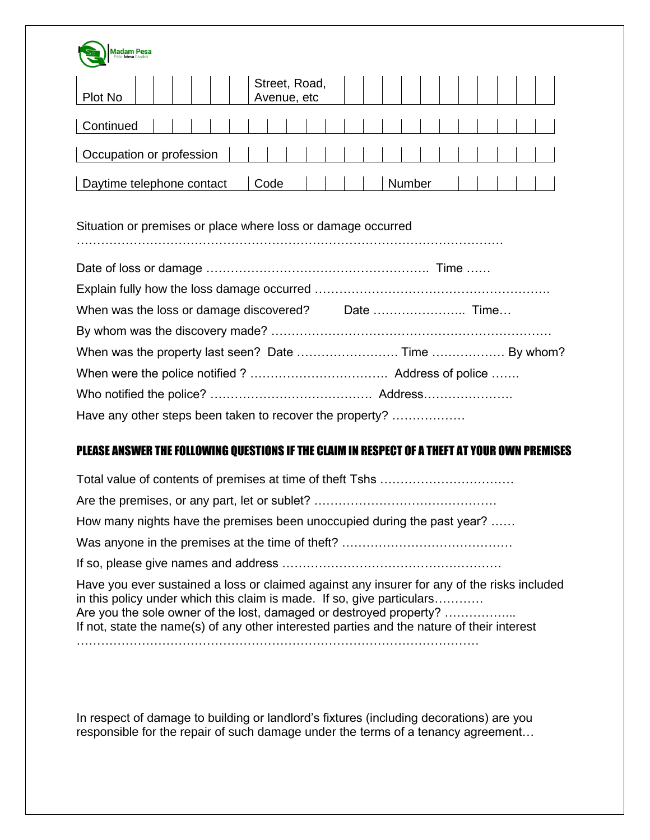

| Plot No                   | Street, Road,<br>Avenue, etc |        |  |  |
|---------------------------|------------------------------|--------|--|--|
| Continued                 |                              |        |  |  |
| Occupation or profession  |                              |        |  |  |
|                           |                              |        |  |  |
| Daytime telephone contact | Code                         | Number |  |  |

## Situation or premises or place where loss or damage occurred

……………………………………………………………………………………………

| When was the property last seen? Date  Time  By whom?    |  |
|----------------------------------------------------------|--|
|                                                          |  |
|                                                          |  |
| Have any other steps been taken to recover the property? |  |

# PLEASE ANSWER THE FOLLOWING QUESTIONS IF THE CLAIM IN RESPECT OF A THEFT AT YOUR OWN PREMISES

| How many nights have the premises been unoccupied during the past year?                                                                                                                                                                                                                                                                   |
|-------------------------------------------------------------------------------------------------------------------------------------------------------------------------------------------------------------------------------------------------------------------------------------------------------------------------------------------|
|                                                                                                                                                                                                                                                                                                                                           |
|                                                                                                                                                                                                                                                                                                                                           |
| Have you ever sustained a loss or claimed against any insurer for any of the risks included<br>in this policy under which this claim is made. If so, give particulars<br>Are you the sole owner of the lost, damaged or destroyed property?<br>If not, state the name(s) of any other interested parties and the nature of their interest |
|                                                                                                                                                                                                                                                                                                                                           |

In respect of damage to building or landlord's fixtures (including decorations) are you responsible for the repair of such damage under the terms of a tenancy agreement…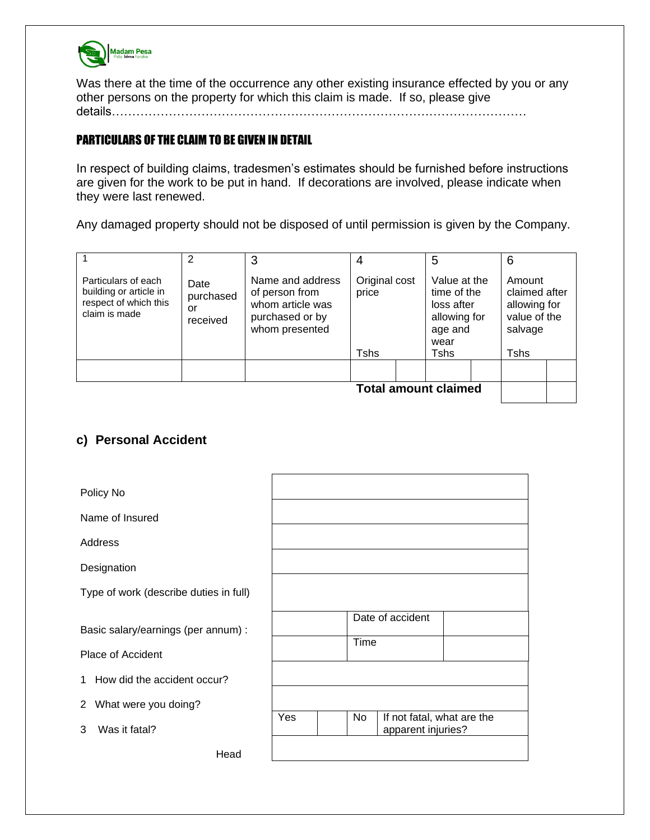

Was there at the time of the occurrence any other existing insurance effected by you or any other persons on the property for which this claim is made. If so, please give details…………………………………………………………………………………………

#### PARTICULARS OF THE CLAIM TO BE GIVEN IN DETAIL

In respect of building claims, tradesmen's estimates should be furnished before instructions are given for the work to be put in hand. If decorations are involved, please indicate when they were last renewed.

Any damaged property should not be disposed of until permission is given by the Company.

|                                                                                         | 2                                   | 3                                                                                           | 4                           | 5                                                                            | 6                                                                  |
|-----------------------------------------------------------------------------------------|-------------------------------------|---------------------------------------------------------------------------------------------|-----------------------------|------------------------------------------------------------------------------|--------------------------------------------------------------------|
| Particulars of each<br>building or article in<br>respect of which this<br>claim is made | Date<br>purchased<br>or<br>received | Name and address<br>of person from<br>whom article was<br>purchased or by<br>whom presented | Original cost<br>price      | Value at the<br>time of the<br>loss after<br>allowing for<br>age and<br>wear | Amount<br>claimed after<br>allowing for<br>value of the<br>salvage |
|                                                                                         |                                     |                                                                                             | <b>Tshs</b>                 | <b>Tshs</b>                                                                  | Tshs                                                               |
|                                                                                         |                                     |                                                                                             |                             |                                                                              |                                                                    |
|                                                                                         |                                     |                                                                                             | <b>Total amount claimed</b> |                                                                              |                                                                    |

## **c) Personal Accident**

| Policy No                                                |                                                               |
|----------------------------------------------------------|---------------------------------------------------------------|
| Name of Insured                                          |                                                               |
| Address                                                  |                                                               |
| Designation                                              |                                                               |
| Type of work (describe duties in full)                   |                                                               |
| Basic salary/earnings (per annum) :<br>Place of Accident | Date of accident<br>Time                                      |
| How did the accident occur?<br>1                         |                                                               |
| What were you doing?<br>2                                |                                                               |
| Was it fatal?<br>3                                       | Yes<br>No<br>If not fatal, what are the<br>apparent injuries? |
| Head                                                     |                                                               |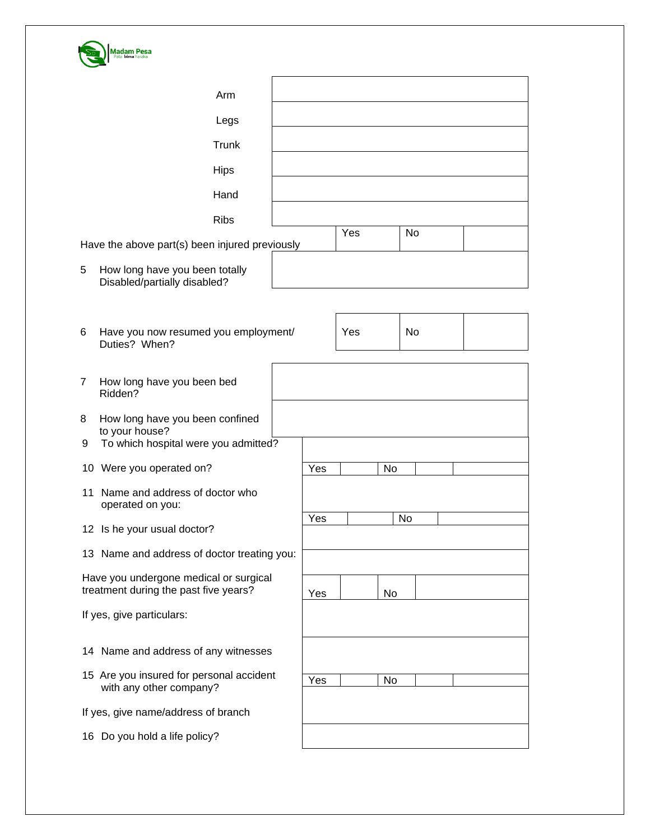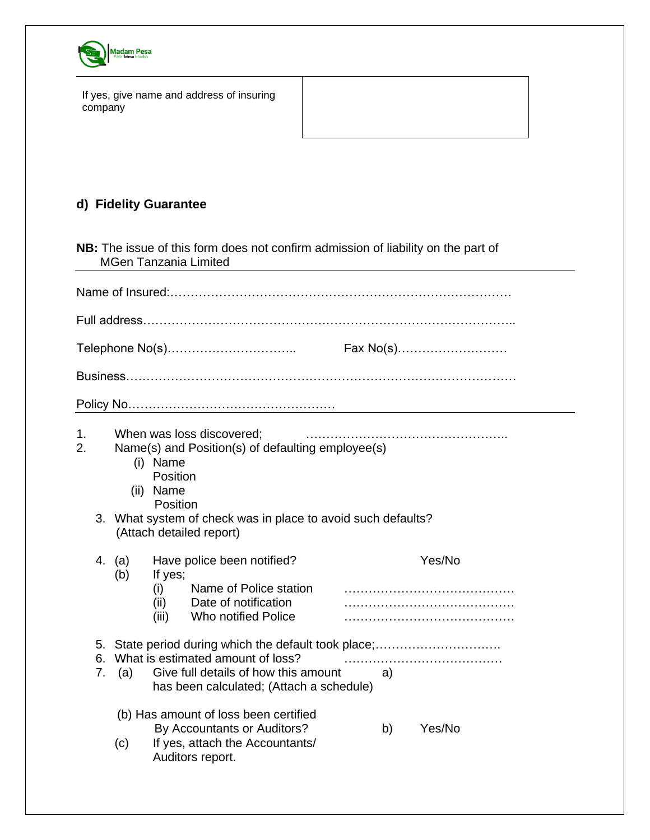

|         |  | If yes, give name and address of insuring |  |
|---------|--|-------------------------------------------|--|
| company |  |                                           |  |

## **d) Fidelity Guarantee**

**NB:** The issue of this form does not confirm admission of liability on the part of MGen Tanzania Limited

|                | Fax No(s)<br>Telephone No(s) |                                               |                                                                                                                                                                            |    |  |        |  |  |  |
|----------------|------------------------------|-----------------------------------------------|----------------------------------------------------------------------------------------------------------------------------------------------------------------------------|----|--|--------|--|--|--|
|                |                              |                                               |                                                                                                                                                                            |    |  |        |  |  |  |
|                |                              |                                               |                                                                                                                                                                            |    |  |        |  |  |  |
| 1.<br>2.<br>3. |                              | (i) Name<br>Position<br>(ii) Name<br>Position | When was loss discovered;<br>Name(s) and Position(s) of defaulting employee(s)<br>What system of check was in place to avoid such defaults?<br>(Attach detailed report)    |    |  |        |  |  |  |
| 4.             | (a)<br>(b)                   | If yes;<br>(i)<br>(iii)                       | Have police been notified?<br>Name of Police station<br>(ii) Date of notification<br>Who notified Police                                                                   |    |  | Yes/No |  |  |  |
| 5.<br>6.<br>7. | (a)                          |                                               | State period during which the default took place;<br>What is estimated amount of loss?<br>Give full details of how this amount<br>has been calculated; (Attach a schedule) | a) |  |        |  |  |  |
|                | (c)                          |                                               | (b) Has amount of loss been certified<br>By Accountants or Auditors?<br>If yes, attach the Accountants/<br>Auditors report.                                                | b) |  | Yes/No |  |  |  |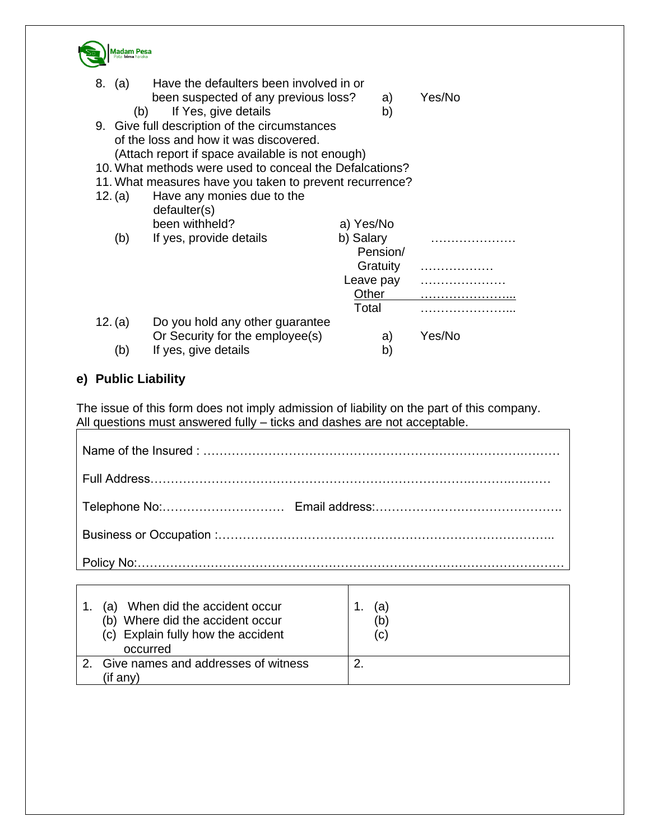

|                                                         | 8. (a)<br>(b)                                           | Have the defaulters been involved in or<br>been suspected of any previous loss?<br>If Yes, give details | a)<br>b)  | Yes/No |  |  |  |
|---------------------------------------------------------|---------------------------------------------------------|---------------------------------------------------------------------------------------------------------|-----------|--------|--|--|--|
|                                                         |                                                         | 9. Give full description of the circumstances                                                           |           |        |  |  |  |
|                                                         |                                                         | of the loss and how it was discovered.                                                                  |           |        |  |  |  |
|                                                         | (Attach report if space available is not enough)        |                                                                                                         |           |        |  |  |  |
| 10. What methods were used to conceal the Defalcations? |                                                         |                                                                                                         |           |        |  |  |  |
|                                                         | 11. What measures have you taken to prevent recurrence? |                                                                                                         |           |        |  |  |  |
|                                                         | 12. (a)                                                 | Have any monies due to the<br>defaulter(s)                                                              |           |        |  |  |  |
|                                                         |                                                         | been withheld?                                                                                          | a) Yes/No |        |  |  |  |
|                                                         | (b)                                                     | If yes, provide details                                                                                 | b) Salary |        |  |  |  |
|                                                         |                                                         |                                                                                                         | Pension/  |        |  |  |  |
|                                                         |                                                         |                                                                                                         | Gratuity  |        |  |  |  |
|                                                         |                                                         |                                                                                                         | Leave pay |        |  |  |  |
|                                                         |                                                         |                                                                                                         | Other     |        |  |  |  |
|                                                         |                                                         |                                                                                                         | Total     |        |  |  |  |
|                                                         | 12. (a)                                                 | Do you hold any other guarantee                                                                         |           |        |  |  |  |
|                                                         |                                                         | Or Security for the employee(s)                                                                         | a)        | Yes/No |  |  |  |
|                                                         | (b)                                                     | If yes, give details                                                                                    | b)        |        |  |  |  |
|                                                         |                                                         |                                                                                                         |           |        |  |  |  |

## **e) Public Liability**

The issue of this form does not imply admission of liability on the part of this company. All questions must answered fully – ticks and dashes are not acceptable.

| Policy No:……………………………………………………… <u>……………………………</u> |  |  |  |  |  |
|----------------------------------------------------|--|--|--|--|--|

| When did the accident occur<br>a).<br>(b) Where did the accident occur<br>(c) Explain fully how the accident<br>occurred | (a)<br>(b)<br>(C) |
|--------------------------------------------------------------------------------------------------------------------------|-------------------|
| Give names and addresses of witness                                                                                      | ◠                 |
| (if anv`                                                                                                                 |                   |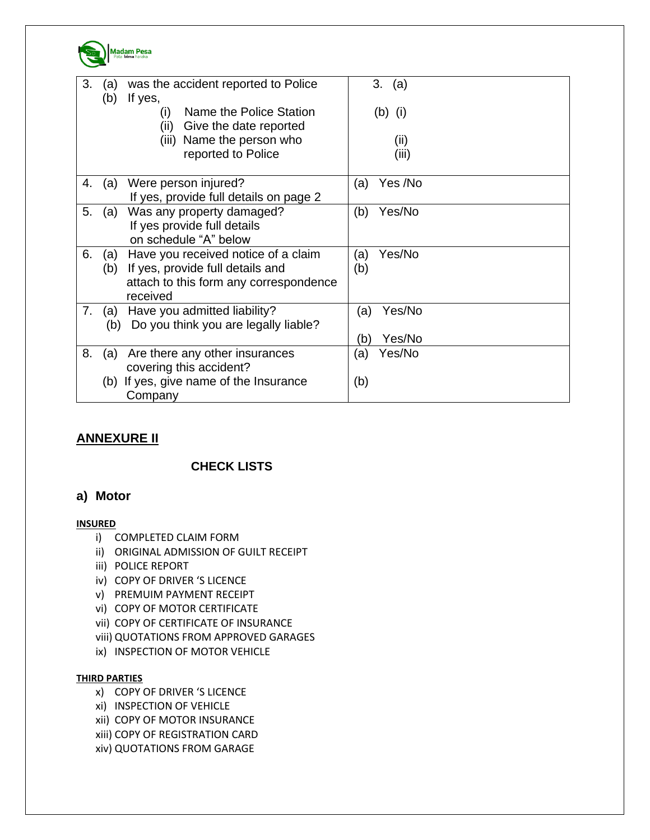

| 3. | (a)<br>(b) | was the accident reported to Police<br>If yes,                                                                                | 3. (a)                         |
|----|------------|-------------------------------------------------------------------------------------------------------------------------------|--------------------------------|
|    |            | Name the Police Station<br>(i)<br>(ii) Give the date reported                                                                 | $(b)$ (i)                      |
|    |            | (iii) Name the person who<br>reported to Police                                                                               | (ii)<br>(iii)                  |
| 4. | (a)        | Were person injured?<br>If yes, provide full details on page 2                                                                | Yes /No<br>(a)                 |
| 5. | (a)        | Was any property damaged?<br>If yes provide full details<br>on schedule "A" below                                             | (b)<br>Yes/No                  |
| 6. | (a)<br>(b) | Have you received notice of a claim<br>If yes, provide full details and<br>attach to this form any correspondence<br>received | Yes/No<br>(a)<br>(b)           |
| 7. | (b)        | (a) Have you admitted liability?<br>Do you think you are legally liable?                                                      | Yes/No<br>(a)<br>Yes/No<br>(b) |
| 8. | (a)        | Are there any other insurances<br>covering this accident?                                                                     | Yes/No<br>(a)                  |
|    |            | (b) If yes, give name of the Insurance<br>Company                                                                             | (b)                            |

## **ANNEXURE II**

## **CHECK LISTS**

#### **a) Motor**

#### **INSURED**

- i) COMPLETED CLAIM FORM
- ii) ORIGINAL ADMISSION OF GUILT RECEIPT
- iii) POLICE REPORT
- iv) COPY OF DRIVER 'S LICENCE
- v) PREMUIM PAYMENT RECEIPT
- vi) COPY OF MOTOR CERTIFICATE
- vii) COPY OF CERTIFICATE OF INSURANCE
- viii) QUOTATIONS FROM APPROVED GARAGES
- ix) INSPECTION OF MOTOR VEHICLE

#### **THIRD PARTIES**

- x) COPY OF DRIVER 'S LICENCE
- xi) INSPECTION OF VEHICLE
- xii) COPY OF MOTOR INSURANCE
- xiii) COPY OF REGISTRATION CARD
- xiv) QUOTATIONS FROM GARAGE